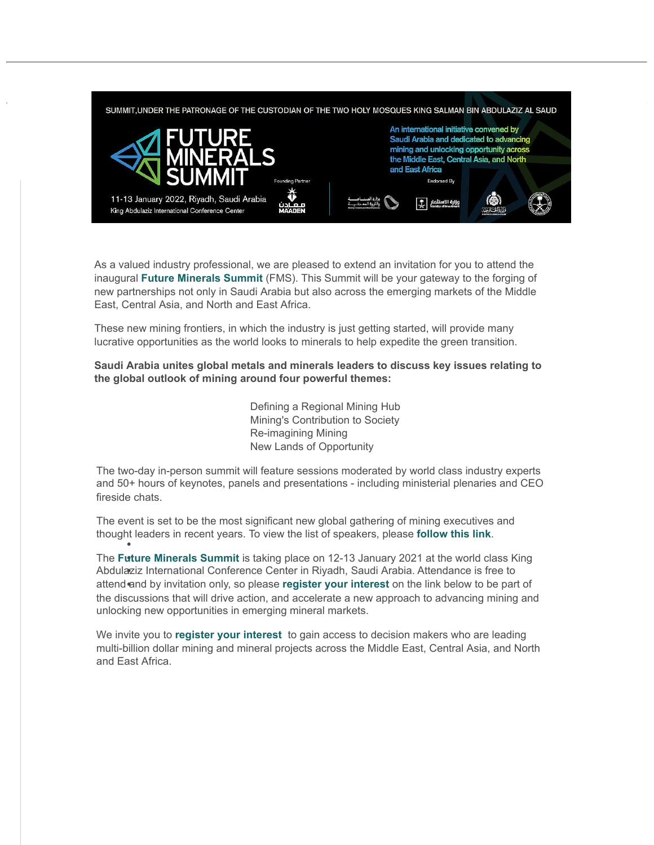

As a valued industry professional, we are pleased to extend an invitation for you to attend the inaugural **[Future Minerals Summit](http://ec2-54-189-84-127.us-west-2.compute.amazonaws.com/x/d?c=17980686&l=e5d49420-2bbf-4632-9ffe-ae892e5652d3&r=ba48839b-5013-4339-a526-cefff04b4f1e)** (FMS). This Summit will be your gateway to the forging of [new partnerships not only in Saudi Arabia but also across the emerging markets of the Middle](http://ec2-54-189-84-127.us-west-2.compute.amazonaws.com/x/d?c=17980686&l=e3eb1069-f437-4cf7-aeec-e2ba41539a60&r=ba48839b-5013-4339-a526-cefff04b4f1e) East, Central Asia, and North and East Africa.

These new mining frontiers, in which the industry is just getting started, will provide many lucrative opportunities as the world looks to minerals to help expedite the green transition.

**Saudi Arabia unites global metals and minerals leaders to discuss key issues relating to the global outlook of mining around four powerful themes:**

> Defining a Regional Mining Hub Mining's Contribution to Society Re-imagining Mining New Lands of Opportunity

The two-day in-person summit will feature sessions moderated by world class industry experts and 50+ hours of keynotes, panels and presentations - including ministerial plenaries and CEO fireside chats.

The event is set to be the most significant new global gathering of mining executives and thought leaders in recent years. To view the list of speakers, please **[follow this link](http://ec2-54-189-84-127.us-west-2.compute.amazonaws.com/x/d?c=17980686&l=977a6a6e-3b09-49f0-9baf-f9167e7896d0&r=ba48839b-5013-4339-a526-cefff04b4f1e)**.

The **Future [Minerals Summit](http://ec2-54-189-84-127.us-west-2.compute.amazonaws.com/x/d?c=17980686&l=a8d9de74-28d1-4b0c-9ec8-2bdfaa04fa6b&r=ba48839b-5013-4339-a526-cefff04b4f1e)** is taking place on 12-13 January 2021 at the world class King Abdulaziz International Conference Center in Riyadh, Saudi Arabia. Attendance is free to attend and by invitation only, so please **register [your interest](http://ec2-54-189-84-127.us-west-2.compute.amazonaws.com/x/d?c=17980686&l=f809e29c-2085-4903-900d-d2f6e327a533&r=ba48839b-5013-4339-a526-cefff04b4f1e)** on the link below to be part of the discussions that will drive action, and accelerate a new approach to advancing mining and unlocking new opportunities in emerging mineral markets.

We invite you to **register [your interest](http://ec2-54-189-84-127.us-west-2.compute.amazonaws.com/x/d?c=17980686&l=1df5c743-a818-4e65-9ef3-13662789be30&r=ba48839b-5013-4339-a526-cefff04b4f1e)** to gain access to decision makers who are leading multi-billion dollar mining and mineral projects across the Middle East, Central Asia, and North and East Africa.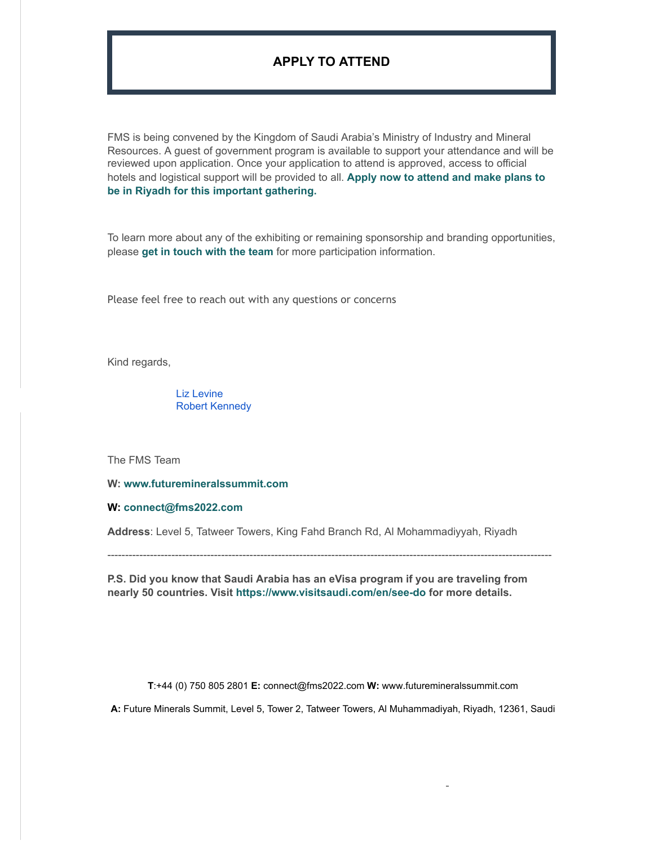## **APPLY [TO ATTEND](http://ec2-54-189-84-127.us-west-2.compute.amazonaws.com/x/d?c=17980686&l=20c9b042-b114-4426-842d-3f795dc326fc&r=ba48839b-5013-4339-a526-cefff04b4f1e)**

FMS is being convened by the Kingdom of Saudi Arabia's Ministry of Industry and Mineral Resources. A guest of government program is available to support your attendance and will be reviewed upon application. Once your application to attend is approved, access to official [hotels and logistical support will be provided to all.](http://ec2-54-189-84-127.us-west-2.compute.amazonaws.com/x/d?c=17980686&l=ec3479be-7623-48a3-aa29-24d34501f307&r=ba48839b-5013-4339-a526-cefff04b4f1e) **Apply now to attend and make plans to be in Riyadh for this important gathering.**

To learn more about any of the exhibiting or remaining sponsorship and branding opportunities, please **[get in touch with the team](mailto:connect@fms2022.com)** for more participation information.

Please feel free to reach out with any questions or concerns

Kind regards,

[Liz Levine](mailto:Liz@colcirc.com) [Robert Kennedy](mailto:Robert.Kennedy@colcirc.com)

The FMS Team

**W: [www.futuremineralssummit.com](http://ec2-54-189-84-127.us-west-2.compute.amazonaws.com/x/d?c=17980686&l=38e2ecc0-ade4-4795-92bd-ab48b84dd5b6&r=ba48839b-5013-4339-a526-cefff04b4f1e)**

**W: [connect@fms2022.com](mailto:connect@fms2022.com)**

**Address**: Level 5, Tatweer Towers, King Fahd Branch Rd, Al Mohammadiyyah, Riyadh

-----------------------------------------------------------------------------------------------------------------------------

**P.S. Did you know that Saudi Arabia has an eVisa program if you are traveling from nearly 50 countries. Visit [https://www.visitsaudi.com/en/see-do](https://email.beaconevents.com/e3t/Btc/R+113/ckX2P04/VVSKL24YNhPjW5MQ0p88rC7FdW6P_DFt4BWXhBN5wYXR13lLB3V1-WJV7CgWdlW3JWsgV7cSJ_5W20xJnB23RPx_W38s25T4ZpsrrW4JWXc-4WLxbcN8GmS2NLg1SWV_05Jw7S8PvTN4__dvNFDdkPVLDfdH9lZ_CjN2B5Sr1Rf9fgW7TQCDW85prjmW8qQfFd4Vj1qcW2Mhcgc8N-nCFW51QdYf4nD9BxW6wbHtS3_1K8fW2C6mqv6NVMRHW1s3mmx1LvWSZW2sTxnw2j_MB6N4s4Hh1-P6fHW3cNqP46RQNLvW21-bjD4vMM6M3kTq1) for more details.**

**T**:+44 (0) 750 805 2801 **E:** [connect@fms2022.com](mailto:connect@fms2022.com) **W:** [www.futuremineralssummit.com](http://ec2-54-189-84-127.us-west-2.compute.amazonaws.com/x/d?c=17980686&l=b262a5fb-214d-4a15-9665-85d62360c6c5&r=ba48839b-5013-4339-a526-cefff04b4f1e)

**A:** Future Minerals Summit, Level 5, Tower 2, Tatweer Towers, Al Muhammadiyah, Riyadh, 12361, Saudi